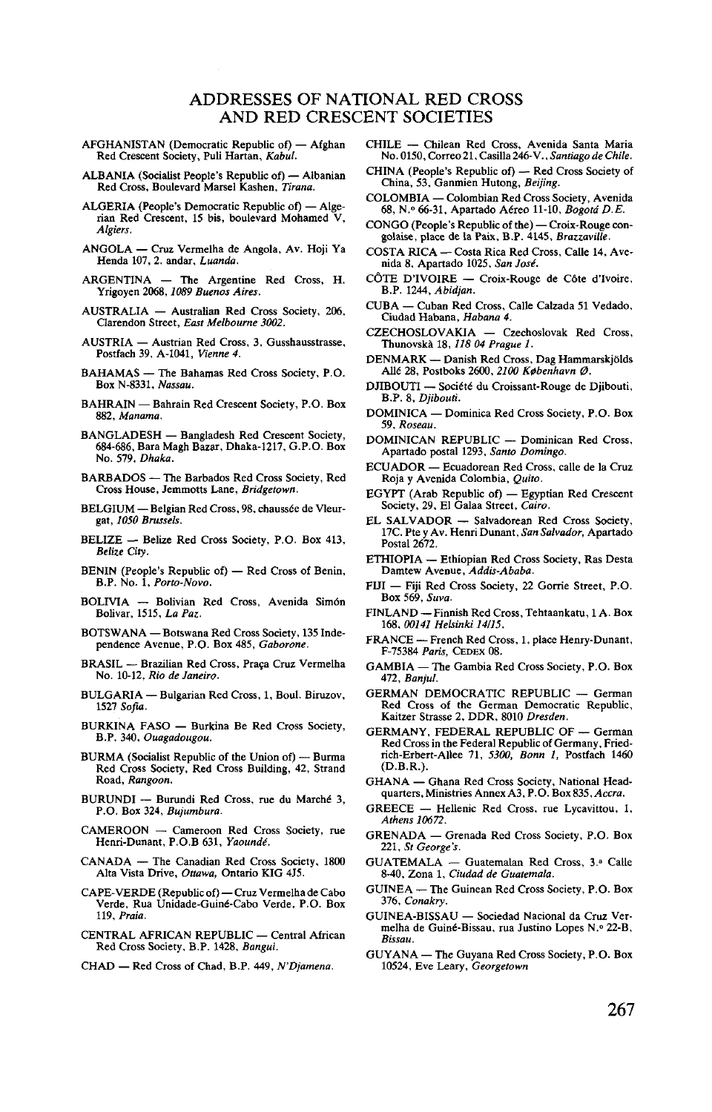## ADDRESSES OF NATIONAL RED CROSS AND RED CRESCENT SOCIETIES

- AFGHANISTAN (Democratic Republic of) Afghan Red Crescent Society, Puli Hartan, *Kabul.*
- ALBANIA (Socialist People's Republic of) Albanian Red Cross, Boulevard Marsel Kashen, *Tirana.*
- ALGERIA (People's Democratic Republic of) Alge- rian Red Crescent, 15 bis, boulevard Mohamed V, *Algiers.*
- ANGOLA Cruz Vermelha de Angola, Av. Hoji Ya Henda 107, 2. andar, *Luanda.*
- ARGENTINA The Argentine Red Cross, H. Yrigoyen 2068,*1089 Buenos Aires.*
- AUSTRALIA Australian Red Cross Society, 206, Clarendon Street, *East Melbourne 3002.*
- AUSTRIA Austrian Red Cross, 3, Gusshausstrasse, Postfach 39, A-I041, *Vienne 4.*
- BAHAMAS The Bahamas Red Cross Society, P.O. Box N-8331, *Nassau.*
- BAHRAIN Bahrain Red Crescent Society, P.O. Box 882, *Manama.*
- BANGLADESH Bangladesh Red Crescent Society, 684-686, Bara Magh Bazar, Dhaka-1217, G.P.O. Box No. 579, *Dhaka.*
- BARBADOS The Barbados Red Cross Society, Red Cross House, Jemmotts Lane, *Bridgetown.*
- BELGIUM Belgian Red Cross, 98, chaussée de Vleur-<br>gat, 1050 Brussels.
- BELIZE Belize Red Cross Society, P.O. Box 413, *Belize City.*
- BENIN (People's Republic of) Red Cross of Benin, B.P. No. 1, *Porto-Novo.*
- BOLIVIA Bolivian Red Cross, Avenida Sim6n Bolivar, 1515, *La Paz.*
- BOTSWANA Botswana Red Cross Society, 135 Inde- pendence Avenue, P.O. Box 485, *Gaborone.*
- BRASIL Brazilian Red Cross, Praca Cruz Vermelha No. 10-12, *Rio de Janeiro.*
- BULGARIA Bulgarian Red Cross, 1, Boul. Biruzov, <sup>1527</sup> *Sofia.*
- BURKINA FASO Burkina Be Red Cross Society, B.P. 340, *Ouagadougou.*
- BURMA (Socialist Republic of the Union of) Burma Red Cross Society, Red Cross Building, 42, Strand Road, *Rangoon.*
- BURUNDI Burundi Red Cross, rue du Marche1 3, P.O. Box 324, *Bujumbura.*
- CAMEROON Cameroon Red Cross Society, rue Henri-Dunant, P.O.B 631, *Yaounde".*
- CANADA The Canadian Red Cross Society, 1800 Alta Vista Drive, *Ottawa,* Ontario KIG 4J5.
- CAPE-VERDE (Republic of) Cruz Vermelha de Cabo Verde, Rua Unidade-Guin6-Cabo Verde. P.O. Box 119, *Praia.*
- CENTRAL AFRICAN REPUBLIC Central African Red Cross Society, B.P. 1428, *Bangui.*
- CHAD Red Cross of Chad, B.P. 449, *N'Djamena.*
- CHILE Chilean Red Cross, Avenida Santa Maria
- CHINA (People's Republic of) Red Cross Society of China, 53, Ganmien Hutong, Beijing.
- COLOMBIA Colombian Red Cross Society, Avenida 68, N.º 66-31, Apartado Aéreo 11-10, Bogotá D.E.
- 68, CONGO (People's Republic of the) Croix-Rouge congolaise, place de la Paix, B.P. 4145, Brazzaville.
- COSTA RICA Costa Rica Red Cross, Calle 14, Avenida 8, Apartado 1025, San José.
- CÔTE D'IVOIRE Croix-Rouge de Côte d'Ivoire, B.P. 1244. Abidian.
- CUBA Cuban Red Cross, Calle Calzada 51 Vedado, Ciudad Habana, Habana 4.
- CZECHOSLOVAKIA Czechoslovak Red Cross,<br>Thunovskà 18, 118 04 Prague 1.
- DENMARK Danish Red Cross, Dag Hammarskjölds Allé 28, Postboks 2600, 2100 København Ø.
- DJIBOUTI Société du Croissant-Rouge de Djibouti, B.P. 8, Diibouti.
- DOMINICA Dominica Red Cross Society, P.O. Box 59. Roseau.
- DOMINICAN REPUBLIC Dominican Red Cross,<br>Apartado postal 1293, Santo Domingo.
- ECUADOR Ecuadorean Red Cross, calle de la Cruz Roja y Avenida Colombia, Quito.
- EGYPT (Arab Republic of) Egyptian Red Crescent Society, 29, El Galaa Street, Cairo.
- EL SALVADOR Salvadorean Red Cross Society, 17C. Pte y Av. Henri Dunant, San Salvador, Apartado<br>Postal 2672.
- ETHIOPIA Ethiopian Red Cross Society, Ras Desta Damtew Avenue, Addis-Ababa.
- FIJI Fiji Red Cross Society, 22 Gorrie Street, P.O. Box 569. Suva.
- FINLAND Finnish Red Cross, Tehtaankatu, 1 A. Box 168, 00141 Helsinki 14/15.
- FRANCE French Red Cross, 1, place Henry-Dunant, F-75384 Paris, CEDEX 08.
- GAMBIA The Gambia Red Cross Society, P.O. Box<br>472. Banjul.
- GERMAN DEMOCRATIC REPUBLIC German Red Cross of the German Democratic Republic, Kaitzer Strasse 2, DDR, 8010 Dresden.
- GERMANY, FEDERAL REPUBLIC OF German Red Cross in the Federal Republic of Germany, Friedrich-Erbert-Allee 71, 5300, Bonn 1, Postfach 1460<br>(D.B.R.).
- GHANA Ghana Red Cross Society, National Headquarters, Ministries Annex A3, P.O. Box 835, Accra.
- GREECE Hellenic Red Cross, rue Lycavittou, 1,<br>
Athens 10672.<br>
GRENADA Grenada Red Cross Society, P.O. Box
- 221, St George's.
- GUATEMALA Guatemalan Red Cross, 3.ª Calle 8-40, Zona 1, Ciudad de Guatemala.
- GUINEA The Guinean Red Cross Society, P.O. Box 376, Conakry.
- GUINEA-BISSAU Sociedad Nacional da Cruz Vermelha de Guiné-Bissau, rua Justino Lopes N.º 22-B,<br>Bissau.
- GUYANA The Guyana Red Cross Society, P.O. Box 10524, Eve Leary, Georgetown GUINEA — The Guinean Red Cross Society, P.O. Box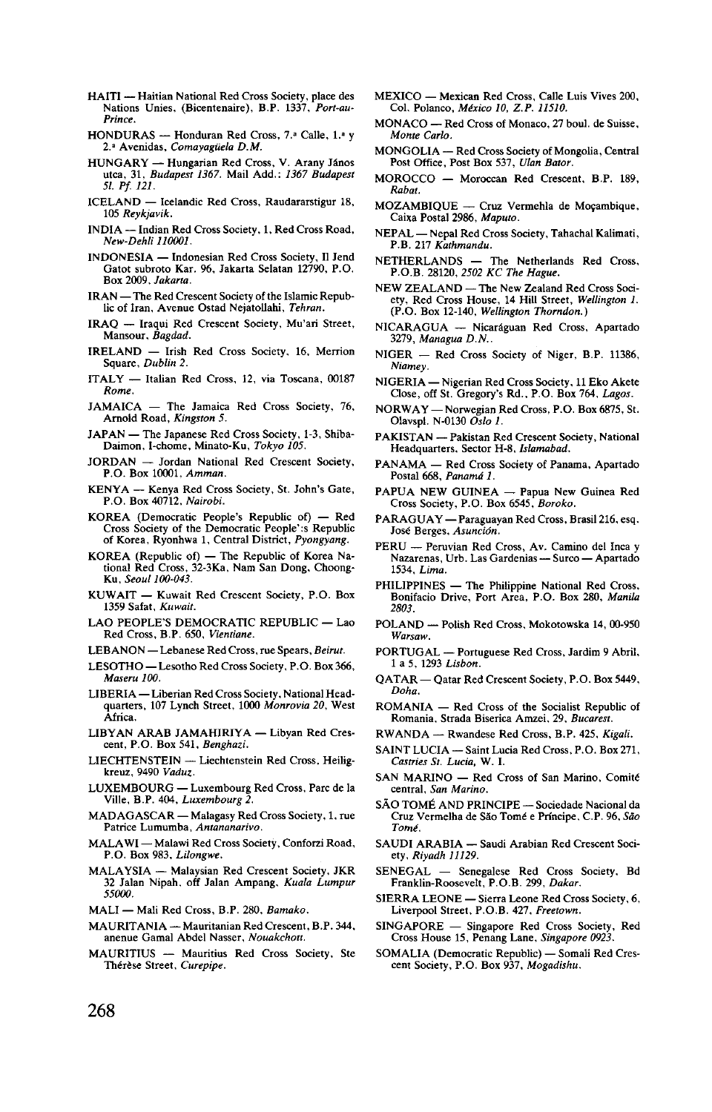- HAITI Haitian National Red Cross Society, place des Nations Unies, (Bicentenaire), B.P. 1337, *Port-au-Prince.*
- HONDURAS Honduran Red Cross, 7." Calle, 1.' y 2." Avenidas, *Comayaguela D.M.*
- HUNGARY Hungarian Red Cross, V. Arany János utca, 31, *Budapest 1367.* Mail Add.: *1367 Budapest 51. Pf. 121.*
- ICELAND Icelandic Red Cross, Raudararstigur 18, 105 *Reykjavik.*
- New-Dehli 110001.
- *INDONESIA* Indonesian Red Cross Society, Il Jend Gatot subroto Kar. 96, Jakarta Selatan 12790, P.O.<br>Box 2009, Jakarta.
- Box 2009, *Jakarta.*<br>AN The Red Crescent Society of the Islamic Repub-
- IRAO Iraqui Red Crescent Society, Mu'ari Street, Iraq — Iraquin Society, Mutaneus Society, Mutaneus Society, Mutaneus Society, Mutaneus Society, Mutaneus Society, Mu
- SLAND INSB I<br>Sanara, Dublin 2 Square, *Dublin 2.*<br>ITALY — Italian Red Cross, 12, via Toscana, 00187
- Rome.
- JAMAICA The Jamaica Red Cross Society, 76, Arnold Road, Kingston 5.
- JAPAN The Japanese Red Cross Society, 1-3, Shiba-Daimon, I-chome, Minato-Ku, Tokyo 105.
- JORDAN Jordan National Red Crescent Society, P.O. Box 10001, Amman.
- KENYA -- Kenya Red Cross Society, St. John's Gate, P.O. Box 40712, Natrobi.
- KOREA (Democratic People's Republic of) Red Cross Society of the Democratic People':s Republic of Korea, Ryonhwa 1, Central District, Pyongyang.
- KOREA (Republic of) The Republic of Korea National Red Cross, 32-3Ka, Nam San Dong, Choong-<br>Ku. Seoul 100-043.
- KUWAIT Kuwait Red Crescent Society, P.O. Box<br>1359 Safat, Kuwait.
- LAO PEOPLE'S DEMOCRATIC REPUBLIC Lao<br>Red Cross, B.P. 650, Vientiane.
- LEBANON Lebanese Red Cross, rue Spears, Beirut.
- LESOTHO Lesotho Red Cross Society, P.O. Box 366, Maseru 100.
- LIBERIA Liberian Red Cross Society, National Headquarters, 107 Lynch Street, 1000 Monrovia 20, West<br>Africa
- LIBYAN ARAB JAMAHIRIYA Libyan Red Crescent, P.O. Box 541, Benghazi.
- LIECHTENSTEIN Liechtenstein Red Cross, Heiligkreuz. 9490 Vaduz.
- LUXEMBOURG Luxembourg Red Cross, Parc de la Ville, B.P. 404, *Luxembourg* 2
- MADAGASCAR Malagasy Red Cross Society, 1, rue<br>Patrice Lumumba, Antananarivo.
- MALAWI Malawi Red Cross Society, Conforzi Road, P.O. Box 983, Lilongwe.
- MALAYSIA Malaysian Red Crescent Society, JKR 32 Jalan Nipah, off Jalan Ampang, Kuala Lumpur<br>55000. P.O. Box 983, *Lilongwe.*
- $MALI$  Mail Red Cross, B.P. 280, *Bamako*.
- MAURITANIA Mauritanian Red Crescent, B.P. 344, anenue Gamal Abdel Nasser, Nouakchott.
- MAURITIUS Mauritius Red Cross Society, Ste<br>Thérèse Street, Curepipe. MAURITANIA — Mauritanian Red Crescent, B.P. 344,
- MEXICO Mexican Red Cross, Calle Luis Vives 200, Col. Polanco, *Mixico 10, Z.P. 11510.*
- MONACO Red Cross of Monaco, 27 boul. de Suisse,<br>Monte Carlo *Monte Carlo.*
- MUNGOLIA Red Cross Society of Mongolia, Central<br>Post Office, Bost Boy 527, *Ulan Botor*
- Post Office, Post Box 537, *Ulan Bator.* Rabat.
- **MOZAMBIOUE** Cruz Vermehla de Mocambique. Caixa Postal 2986, Maputo.
- NEPAL Nepal Red Cross Society, Tahachal Kalimati, P.B. 217 Kathmandu.  $\mathbf{F}.\mathbf{D}.\mathbf{Z}$  . Neurimative  $\mathbf{M}$
- P.B. 217 *Kathmandu.*
- NEW ZEALAND The New Zealand Red Cross Society, Red Cross House, 14 Hill Street, Wellington 1. (P.O. Box 12-140, Wellington Thorndon.)
- NICARAGUA Nicaráguan Red Cross, Apartado 3279, Managua D.N.
- NIGER Red Cross Society of Niger, B.P. 11386, Niamey.
- NIGERIA Nigerian Red Cross Society, 11 Eko Akete Close, off St. Gregory's Rd., P.O. Box 764, Lagos.
- NORWAY Norwegian Red Cross, P.O. Box 6875, St. Olavspl. N-0130  $\overline{Os}$ lo 1.
- PAKISTAN Pakistan Red Crescent Society, National Headquarters, Sector H-8, Islamabad.
- PANAMA Red Cross Society of Panama, Apartado<br>Postal 668, *Panamá 1*.
- PAPUA NEW GUINEA Papua New Guinea Red PAPUA NEW GUINEA — Papua New Guinea Red<br>Cross Society, P.O. Box 6545, *Boroko*.
- PARAGUAY Paraguayan Red Cross, Brasil 216, esq. José Berges, Asunción.
- PERU Peruvian Red Cross, Av. Camino del Inca y Nazarenas, Urb. Las Gardenias — Surco — Apartado<br>1534, *Lima*.
- PHILIPPINES The Philippine National Red Cross, Bonifacio Drive, Port Area, P.O. Box 280, Manila  $2803.$
- POLAND Polish Red Cross, Mokotowska 14, 00-950 Warsaw.
- PORTUGAL Portuguese Red Cross, Jardim 9 Abril, 1 a 5, 1293 *Lisbon*.
- QATAR Qatar Red Crescent Society, P.O. Box 5449, Doha.
- ROMANIA Red Cross of the Socialist Republic of Romania, Strada Biserica Amzei, 29, Bucarest.
- RWANDA Rwandese Red Cross, B.P. 425, Kigali.
- SAINT LUCIA Saint Lucia Red Cross, P.O. Box 271, Castries St. Lucia, W. I. RWANDA — Rwandese Red Cross, B.P. 425, *Kigali.*
- $S$ AINT IMARTINO REG CROSS OF SAIT MATHIO, COHIRE
- SÃO TOMÉ AND PRINCIPE Sociedade Nacional da Cruz Vermelha de São Tomé e Príncipe, C.P. 96, São  $Tomé.$
- SAUDI ARABIA Saudi Arabian Red Crescent Society, Riyadh 11129.
- **TOMINATES.**<br>
SENEGAL Senegalese Red Cross Society, Bd<br>
Franklin-Roosevelt, P.O.B. 299, Dakar.
- SIERRA LEONE Sierra Leone Red Cross Society, 6, Liverpool Street, P.O.B. 427, Freetown.
- SINGAPORE Singapore Red Cross Society, Red Cross House 15, Penang Lane, Singapore 0923.
- SINGAPORE Singapore Red Cross Society, Red Cross House 15, Penang Lane, *Singapore 0923.* SOMALIA (Democratic Republic) Somali Red Cres- cent Society, P.O. Box 937, *Mogadishu.*